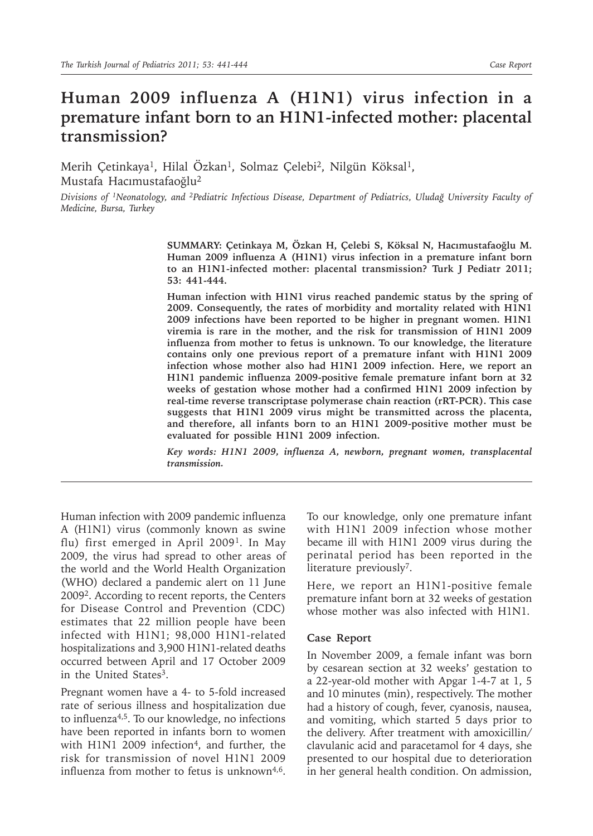# **Human 2009 influenza A (H1N1) virus infection in a premature infant born to an H1N1-infected mother: placental transmission?**

Merih Çetinkaya<sup>1</sup>, Hilal Özkan<sup>1</sup>, Solmaz Çelebi<sup>2</sup>, Nilgün Köksal<sup>1</sup>, Mustafa Hacımustafaoğlu2

*Divisions of 1Neonatology, and 2Pediatric Infectious Disease, Department of Pediatrics, Uludağ University Faculty of Medicine, Bursa, Turkey*

> **SUMMARY: Çetinkaya M, Özkan H, Çelebi S, Köksal N, Hacımustafaoğlu M. Human 2009 influenza A (H1N1) virus infection in a premature infant born to an H1N1-infected mother: placental transmission? Turk J Pediatr 2011; 53: 441-444.**

> **Human infection with H1N1 virus reached pandemic status by the spring of 2009. Consequently, the rates of morbidity and mortality related with H1N1 2009 infections have been reported to be higher in pregnant women. H1N1 viremia is rare in the mother, and the risk for transmission of H1N1 2009 influenza from mother to fetus is unknown. To our knowledge, the literature contains only one previous report of a premature infant with H1N1 2009 infection whose mother also had H1N1 2009 infection. Here, we report an H1N1 pandemic influenza 2009-positive female premature infant born at 32 weeks of gestation whose mother had a confirmed H1N1 2009 infection by real-time reverse transcriptase polymerase chain reaction (rRT-PCR). This case suggests that H1N1 2009 virus might be transmitted across the placenta, and therefore, all infants born to an H1N1 2009-positive mother must be evaluated for possible H1N1 2009 infection.**

> *Key words: H1N1 2009, influenza A, newborn, pregnant women, transplacental transmission.*

Human infection with 2009 pandemic influenza A (H1N1) virus (commonly known as swine flu) first emerged in April 20091. In May 2009, the virus had spread to other areas of the world and the World Health Organization (WHO) declared a pandemic alert on 11 June 20092. According to recent reports, the Centers for Disease Control and Prevention (CDC) estimates that 22 million people have been infected with H1N1; 98,000 H1N1-related hospitalizations and 3,900 H1N1-related deaths occurred between April and 17 October 2009 in the United States<sup>3</sup>.

Pregnant women have a 4- to 5-fold increased rate of serious illness and hospitalization due to influenza4,5. To our knowledge, no infections have been reported in infants born to women with H1N1 2009 infection<sup>4</sup>, and further, the risk for transmission of novel H1N1 2009 influenza from mother to fetus is unknown $4.6$ .

To our knowledge, only one premature infant with H1N1 2009 infection whose mother became ill with H1N1 2009 virus during the perinatal period has been reported in the literature previously<sup>7</sup>.

Here, we report an H1N1-positive female premature infant born at 32 weeks of gestation whose mother was also infected with H1N1.

### **Case Report**

In November 2009, a female infant was born by cesarean section at 32 weeks' gestation to a 22-year-old mother with Apgar 1-4-7 at 1, 5 and 10 minutes (min), respectively. The mother had a history of cough, fever, cyanosis, nausea, and vomiting, which started 5 days prior to the delivery. After treatment with amoxicillin/ clavulanic acid and paracetamol for 4 days, she presented to our hospital due to deterioration in her general health condition. On admission,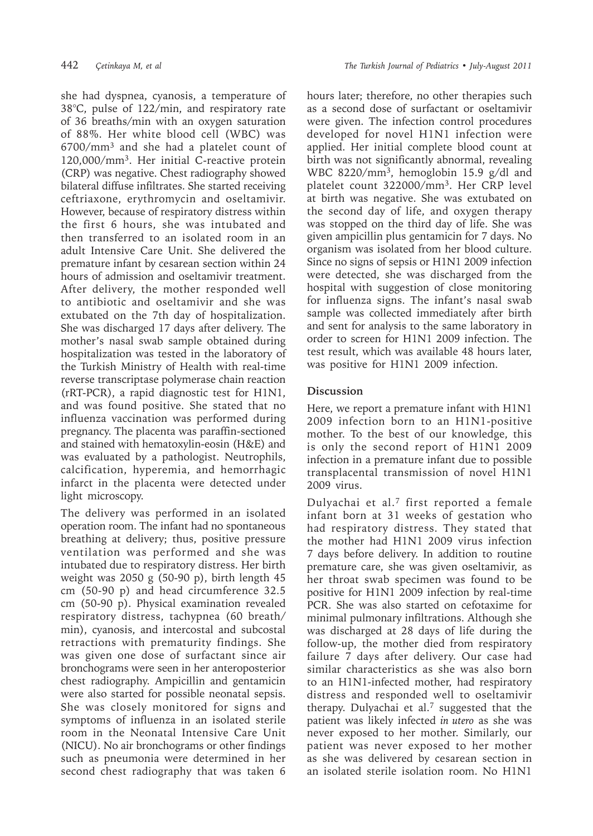light microscopy.

she had dyspnea, cyanosis, a temperature of 38°C, pulse of 122/min, and respiratory rate of 36 breaths/min with an oxygen saturation of 88%. Her white blood cell (WBC) was 6700/mm3 and she had a platelet count of 120,000/mm3. Her initial C-reactive protein (CRP) was negative. Chest radiography showed bilateral diffuse infiltrates. She started receiving ceftriaxone, erythromycin and oseltamivir. However, because of respiratory distress within the first 6 hours, she was intubated and then transferred to an isolated room in an adult Intensive Care Unit. She delivered the premature infant by cesarean section within 24 hours of admission and oseltamivir treatment. After delivery, the mother responded well to antibiotic and oseltamivir and she was extubated on the 7th day of hospitalization. She was discharged 17 days after delivery. The mother's nasal swab sample obtained during hospitalization was tested in the laboratory of the Turkish Ministry of Health with real-time reverse transcriptase polymerase chain reaction (rRT-PCR), a rapid diagnostic test for H1N1, and was found positive. She stated that no influenza vaccination was performed during pregnancy. The placenta was paraffin-sectioned and stained with hematoxylin-eosin (H&E) and was evaluated by a pathologist. Neutrophils, calcification, hyperemia, and hemorrhagic infarct in the placenta were detected under

The delivery was performed in an isolated operation room. The infant had no spontaneous breathing at delivery; thus, positive pressure ventilation was performed and she was intubated due to respiratory distress. Her birth weight was 2050 g (50-90 p), birth length 45 cm (50-90 p) and head circumference 32.5 cm (50-90 p). Physical examination revealed respiratory distress, tachypnea (60 breath/ min), cyanosis, and intercostal and subcostal retractions with prematurity findings. She was given one dose of surfactant since air bronchograms were seen in her anteroposterior chest radiography. Ampicillin and gentamicin were also started for possible neonatal sepsis. She was closely monitored for signs and symptoms of influenza in an isolated sterile room in the Neonatal Intensive Care Unit (NICU). No air bronchograms or other findings such as pneumonia were determined in her second chest radiography that was taken 6

hours later; therefore, no other therapies such as a second dose of surfactant or oseltamivir were given. The infection control procedures developed for novel H1N1 infection were applied. Her initial complete blood count at birth was not significantly abnormal, revealing WBC 8220/mm3, hemoglobin 15.9 g/dl and platelet count 322000/mm3. Her CRP level at birth was negative. She was extubated on the second day of life, and oxygen therapy was stopped on the third day of life. She was given ampicillin plus gentamicin for 7 days. No organism was isolated from her blood culture. Since no signs of sepsis or H1N1 2009 infection were detected, she was discharged from the hospital with suggestion of close monitoring for influenza signs. The infant's nasal swab sample was collected immediately after birth and sent for analysis to the same laboratory in order to screen for H1N1 2009 infection. The test result, which was available 48 hours later, was positive for H1N1 2009 infection.

## **Discussion**

Here, we report a premature infant with H1N1 2009 infection born to an H1N1-positive mother. To the best of our knowledge, this is only the second report of H1N1 2009 infection in a premature infant due to possible transplacental transmission of novel H1N1 2009 virus.

Dulyachai et al.7 first reported a female infant born at 31 weeks of gestation who had respiratory distress. They stated that the mother had H1N1 2009 virus infection 7 days before delivery. In addition to routine premature care, she was given oseltamivir, as her throat swab specimen was found to be positive for H1N1 2009 infection by real-time PCR. She was also started on cefotaxime for minimal pulmonary infiltrations. Although she was discharged at 28 days of life during the follow-up, the mother died from respiratory failure 7 days after delivery. Our case had similar characteristics as she was also born to an H1N1-infected mother, had respiratory distress and responded well to oseltamivir therapy. Dulyachai et al.7 suggested that the patient was likely infected *in utero* as she was never exposed to her mother. Similarly, our patient was never exposed to her mother as she was delivered by cesarean section in an isolated sterile isolation room. No H1N1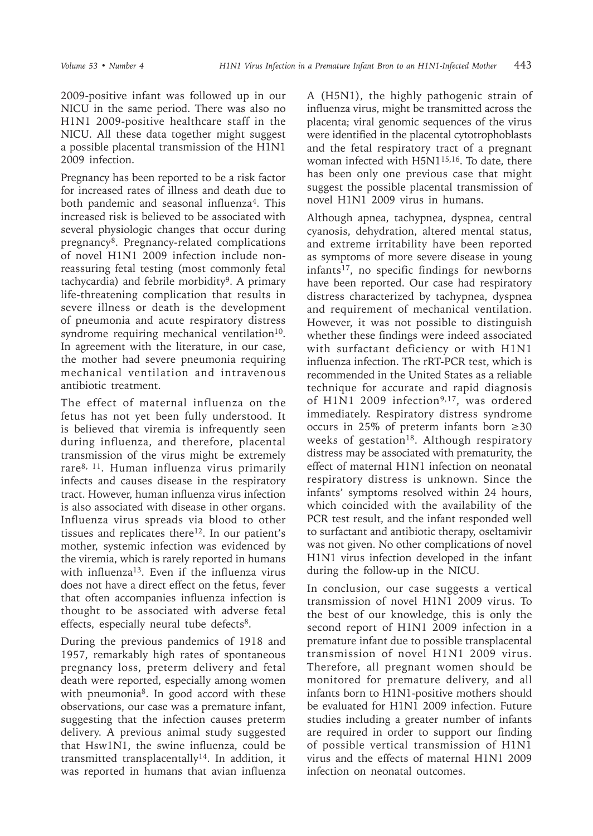2009-positive infant was followed up in our NICU in the same period. There was also no H1N1 2009-positive healthcare staff in the NICU. All these data together might suggest a possible placental transmission of the H1N1 2009 infection.

Pregnancy has been reported to be a risk factor for increased rates of illness and death due to both pandemic and seasonal influenza<sup>4</sup>. This increased risk is believed to be associated with several physiologic changes that occur during pregnancy<sup>8</sup>. Pregnancy-related complications of novel H1N1 2009 infection include nonreassuring fetal testing (most commonly fetal tachycardia) and febrile morbidity<sup>9</sup>. A primary life-threatening complication that results in severe illness or death is the development of pneumonia and acute respiratory distress syndrome requiring mechanical ventilation $10$ . In agreement with the literature, in our case, the mother had severe pneumonia requiring mechanical ventilation and intravenous antibiotic treatment.

The effect of maternal influenza on the fetus has not yet been fully understood. It is believed that viremia is infrequently seen during influenza, and therefore, placental transmission of the virus might be extremely rare8, 11. Human influenza virus primarily infects and causes disease in the respiratory tract. However, human influenza virus infection is also associated with disease in other organs. Influenza virus spreads via blood to other tissues and replicates there $12$ . In our patient's mother, systemic infection was evidenced by the viremia, which is rarely reported in humans with influenza<sup>13</sup>. Even if the influenza virus does not have a direct effect on the fetus, fever that often accompanies influenza infection is thought to be associated with adverse fetal effects, especially neural tube defects<sup>8</sup>.

During the previous pandemics of 1918 and 1957, remarkably high rates of spontaneous pregnancy loss, preterm delivery and fetal death were reported, especially among women with pneumonia<sup>8</sup>. In good accord with these observations, our case was a premature infant, suggesting that the infection causes preterm delivery. A previous animal study suggested that Hsw1N1, the swine influenza, could be transmitted transplacentally14. In addition, it was reported in humans that avian influenza A (H5N1), the highly pathogenic strain of influenza virus, might be transmitted across the placenta; viral genomic sequences of the virus were identified in the placental cytotrophoblasts and the fetal respiratory tract of a pregnant woman infected with H5N1<sup>15,16</sup>. To date, there has been only one previous case that might suggest the possible placental transmission of novel H1N1 2009 virus in humans.

Although apnea, tachypnea, dyspnea, central cyanosis, dehydration, altered mental status, and extreme irritability have been reported as symptoms of more severe disease in young infants17, no specific findings for newborns have been reported. Our case had respiratory distress characterized by tachypnea, dyspnea and requirement of mechanical ventilation. However, it was not possible to distinguish whether these findings were indeed associated with surfactant deficiency or with H1N1 influenza infection. The rRT-PCR test, which is recommended in the United States as a reliable technique for accurate and rapid diagnosis of H1N1 2009 infection<sup>9,17</sup>, was ordered immediately. Respiratory distress syndrome occurs in 25% of preterm infants born  $\geq 30$ weeks of gestation<sup>18</sup>. Although respiratory distress may be associated with prematurity, the effect of maternal H1N1 infection on neonatal respiratory distress is unknown. Since the infants' symptoms resolved within 24 hours, which coincided with the availability of the PCR test result, and the infant responded well to surfactant and antibiotic therapy, oseltamivir was not given. No other complications of novel H1N1 virus infection developed in the infant during the follow-up in the NICU.

In conclusion, our case suggests a vertical transmission of novel H1N1 2009 virus. To the best of our knowledge, this is only the second report of H1N1 2009 infection in a premature infant due to possible transplacental transmission of novel H1N1 2009 virus. Therefore, all pregnant women should be monitored for premature delivery, and all infants born to H1N1-positive mothers should be evaluated for H1N1 2009 infection. Future studies including a greater number of infants are required in order to support our finding of possible vertical transmission of H1N1 virus and the effects of maternal H1N1 2009 infection on neonatal outcomes.